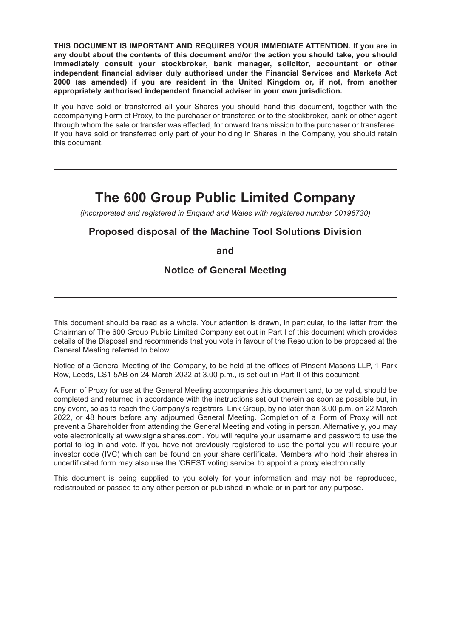**THIS DOCUMENT IS IMPORTANT AND REQUIRES YOUR IMMEDIATE ATTENTION. If you are in any doubt about the contents of this document and/or the action you should take, you should immediately consult your stockbroker, bank manager, solicitor, accountant or other independent financial adviser duly authorised under the Financial Services and Markets Act 2000 (as amended) if you are resident in the United Kingdom or, if not, from another appropriately authorised independent financial adviser in your own jurisdiction.**

If you have sold or transferred all your Shares you should hand this document, together with the accompanying Form of Proxy, to the purchaser or transferee or to the stockbroker, bank or other agent through whom the sale or transfer was effected, for onward transmission to the purchaser or transferee. If you have sold or transferred only part of your holding in Shares in the Company, you should retain this document.

# **The 600 Group Public Limited Company**

*(incorporated and registered in England and Wales with registered number 00196730)*

## **Proposed disposal of the Machine Tool Solutions Division**

**and**

## **Notice of General Meeting**

This document should be read as a whole. Your attention is drawn, in particular, to the letter from the Chairman of The 600 Group Public Limited Company set out in Part I of this document which provides details of the Disposal and recommends that you vote in favour of the Resolution to be proposed at the General Meeting referred to below.

Notice of a General Meeting of the Company, to be held at the offices of Pinsent Masons LLP, 1 Park Row, Leeds, LS1 5AB on 24 March 2022 at 3.00 p.m., is set out in Part II of this document.

A Form of Proxy for use at the General Meeting accompanies this document and, to be valid, should be completed and returned in accordance with the instructions set out therein as soon as possible but, in any event, so as to reach the Company's registrars, Link Group, by no later than 3.00 p.m. on 22 March 2022, or 48 hours before any adjourned General Meeting. Completion of a Form of Proxy will not prevent a Shareholder from attending the General Meeting and voting in person. Alternatively, you may vote electronically at www.signalshares.com. You will require your username and password to use the portal to log in and vote. If you have not previously registered to use the portal you will require your investor code (IVC) which can be found on your share certificate. Members who hold their shares in uncertificated form may also use the 'CREST voting service' to appoint a proxy electronically.

This document is being supplied to you solely for your information and may not be reproduced, redistributed or passed to any other person or published in whole or in part for any purpose.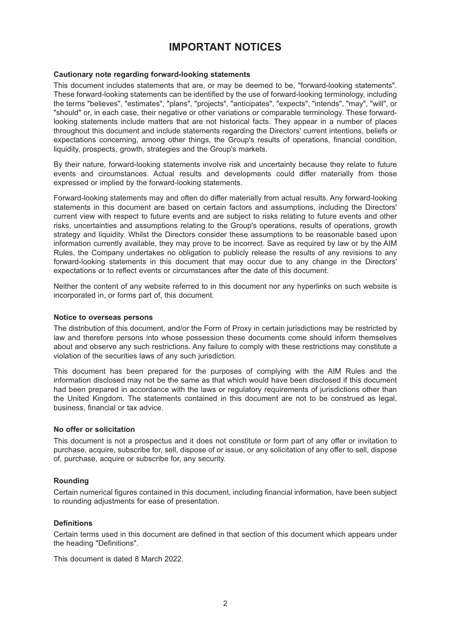## **IMPORTANT NOTICES**

#### **Cautionary note regarding forward-looking statements**

This document includes statements that are, or may be deemed to be, "forward-looking statements". These forward-looking statements can be identified by the use of forward-looking terminology, including the terms "believes", "estimates", "plans", "projects", "anticipates", "expects", "intends", "may", "will", or "should" or, in each case, their negative or other variations or comparable terminology. These forwardlooking statements include matters that are not historical facts. They appear in a number of places throughout this document and include statements regarding the Directors' current intentions, beliefs or expectations concerning, among other things, the Group's results of operations, financial condition, liquidity, prospects, growth, strategies and the Group's markets.

By their nature, forward-looking statements involve risk and uncertainty because they relate to future events and circumstances. Actual results and developments could differ materially from those expressed or implied by the forward-looking statements.

Forward-looking statements may and often do differ materially from actual results. Any forward-looking statements in this document are based on certain factors and assumptions, including the Directors' current view with respect to future events and are subject to risks relating to future events and other risks, uncertainties and assumptions relating to the Group's operations, results of operations, growth strategy and liquidity. Whilst the Directors consider these assumptions to be reasonable based upon information currently available, they may prove to be incorrect. Save as required by law or by the AIM Rules, the Company undertakes no obligation to publicly release the results of any revisions to any forward-looking statements in this document that may occur due to any change in the Directors' expectations or to reflect events or circumstances after the date of this document.

Neither the content of any website referred to in this document nor any hyperlinks on such website is incorporated in, or forms part of, this document.

#### **Notice to overseas persons**

The distribution of this document, and/or the Form of Proxy in certain jurisdictions may be restricted by law and therefore persons into whose possession these documents come should inform themselves about and observe any such restrictions. Any failure to comply with these restrictions may constitute a violation of the securities laws of any such jurisdiction.

This document has been prepared for the purposes of complying with the AIM Rules and the information disclosed may not be the same as that which would have been disclosed if this document had been prepared in accordance with the laws or regulatory requirements of jurisdictions other than the United Kingdom. The statements contained in this document are not to be construed as legal, business, financial or tax advice.

#### **No offer or solicitation**

This document is not a prospectus and it does not constitute or form part of any offer or invitation to purchase, acquire, subscribe for, sell, dispose of or issue, or any solicitation of any offer to sell, dispose of, purchase, acquire or subscribe for, any security.

#### **Rounding**

Certain numerical figures contained in this document, including financial information, have been subject to rounding adjustments for ease of presentation.

#### **Definitions**

Certain terms used in this document are defined in that section of this document which appears under the heading "Definitions".

This document is dated 8 March 2022.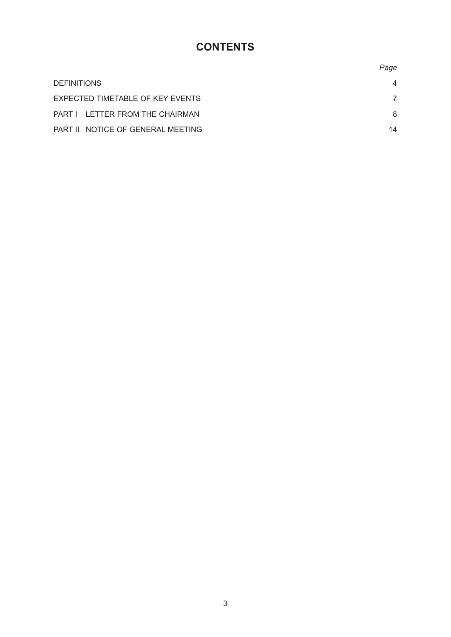# **CONTENTS**

|                                   | Page           |
|-----------------------------------|----------------|
| <b>DEFINITIONS</b>                | $\overline{4}$ |
| EXPECTED TIMETABLE OF KEY EVENTS  |                |
| PART I LETTER FROM THE CHAIRMAN   | 8              |
| PART II NOTICE OF GENERAL MEETING | 14             |
|                                   |                |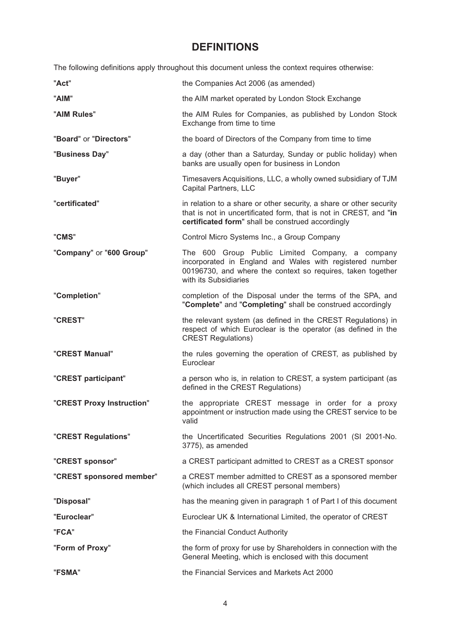## **DEFINITIONS**

The following definitions apply throughout this document unless the context requires otherwise:

| "Act"                     | the Companies Act 2006 (as amended)                                                                                                                                                                 |
|---------------------------|-----------------------------------------------------------------------------------------------------------------------------------------------------------------------------------------------------|
| "AIM"                     | the AIM market operated by London Stock Exchange                                                                                                                                                    |
| "AIM Rules"               | the AIM Rules for Companies, as published by London Stock<br>Exchange from time to time                                                                                                             |
| "Board" or "Directors"    | the board of Directors of the Company from time to time                                                                                                                                             |
| "Business Day"            | a day (other than a Saturday, Sunday or public holiday) when<br>banks are usually open for business in London                                                                                       |
| "Buyer"                   | Timesavers Acquisitions, LLC, a wholly owned subsidiary of TJM<br>Capital Partners, LLC                                                                                                             |
| "certificated"            | in relation to a share or other security, a share or other security<br>that is not in uncertificated form, that is not in CREST, and "in<br>certificated form" shall be construed accordingly       |
| "CMS"                     | Control Micro Systems Inc., a Group Company                                                                                                                                                         |
| "Company" or "600 Group"  | The 600 Group Public Limited Company, a company<br>incorporated in England and Wales with registered number<br>00196730, and where the context so requires, taken together<br>with its Subsidiaries |
| "Completion"              | completion of the Disposal under the terms of the SPA, and<br>"Complete" and "Completing" shall be construed accordingly                                                                            |
| "CREST"                   | the relevant system (as defined in the CREST Regulations) in<br>respect of which Euroclear is the operator (as defined in the<br><b>CREST Regulations)</b>                                          |
| "CREST Manual"            | the rules governing the operation of CREST, as published by<br>Euroclear                                                                                                                            |
| "CREST participant"       | a person who is, in relation to CREST, a system participant (as<br>defined in the CREST Regulations)                                                                                                |
| "CREST Proxy Instruction" | the appropriate CREST message in order for a proxy<br>appointment or instruction made using the CREST service to be<br>valid                                                                        |
| "CREST Regulations"       | the Uncertificated Securities Regulations 2001 (SI 2001-No.<br>3775), as amended                                                                                                                    |
| "CREST sponsor"           | a CREST participant admitted to CREST as a CREST sponsor                                                                                                                                            |
| "CREST sponsored member"  | a CREST member admitted to CREST as a sponsored member<br>(which includes all CREST personal members)                                                                                               |
| "Disposal"                | has the meaning given in paragraph 1 of Part I of this document                                                                                                                                     |
| "Euroclear"               | Euroclear UK & International Limited, the operator of CREST                                                                                                                                         |
| "FCA"                     | the Financial Conduct Authority                                                                                                                                                                     |
| "Form of Proxy"           | the form of proxy for use by Shareholders in connection with the<br>General Meeting, which is enclosed with this document                                                                           |
| "FSMA"                    | the Financial Services and Markets Act 2000                                                                                                                                                         |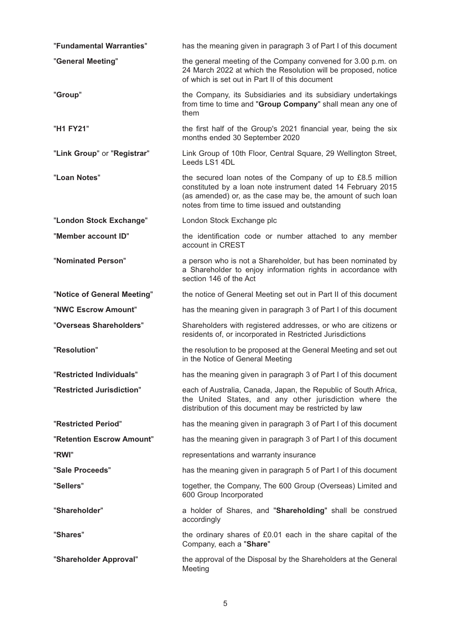| "Fundamental Warranties"    | has the meaning given in paragraph 3 of Part I of this document                                                                                                                                                                               |
|-----------------------------|-----------------------------------------------------------------------------------------------------------------------------------------------------------------------------------------------------------------------------------------------|
| "General Meeting"           | the general meeting of the Company convened for 3.00 p.m. on<br>24 March 2022 at which the Resolution will be proposed, notice<br>of which is set out in Part II of this document                                                             |
| "Group"                     | the Company, its Subsidiaries and its subsidiary undertakings<br>from time to time and "Group Company" shall mean any one of<br>them                                                                                                          |
| "H1 FY21"                   | the first half of the Group's 2021 financial year, being the six<br>months ended 30 September 2020                                                                                                                                            |
| "Link Group" or "Registrar" | Link Group of 10th Floor, Central Square, 29 Wellington Street,<br>Leeds LS1 4DL                                                                                                                                                              |
| "Loan Notes"                | the secured loan notes of the Company of up to £8.5 million<br>constituted by a loan note instrument dated 14 February 2015<br>(as amended) or, as the case may be, the amount of such loan<br>notes from time to time issued and outstanding |
| "London Stock Exchange"     | London Stock Exchange plc                                                                                                                                                                                                                     |
| "Member account ID"         | the identification code or number attached to any member<br>account in CREST                                                                                                                                                                  |
| "Nominated Person"          | a person who is not a Shareholder, but has been nominated by<br>a Shareholder to enjoy information rights in accordance with<br>section 146 of the Act                                                                                        |
| "Notice of General Meeting" | the notice of General Meeting set out in Part II of this document                                                                                                                                                                             |
| "NWC Escrow Amount"         | has the meaning given in paragraph 3 of Part I of this document                                                                                                                                                                               |
| "Overseas Shareholders"     | Shareholders with registered addresses, or who are citizens or<br>residents of, or incorporated in Restricted Jurisdictions                                                                                                                   |
| "Resolution"                | the resolution to be proposed at the General Meeting and set out<br>in the Notice of General Meeting                                                                                                                                          |
| "Restricted Individuals"    | has the meaning given in paragraph 3 of Part I of this document                                                                                                                                                                               |
| "Restricted Jurisdiction"   | each of Australia, Canada, Japan, the Republic of South Africa,<br>the United States, and any other jurisdiction where the<br>distribution of this document may be restricted by law                                                          |
| "Restricted Period"         | has the meaning given in paragraph 3 of Part I of this document                                                                                                                                                                               |
| "Retention Escrow Amount"   | has the meaning given in paragraph 3 of Part I of this document                                                                                                                                                                               |
| "RWI"                       | representations and warranty insurance                                                                                                                                                                                                        |
| "Sale Proceeds"             | has the meaning given in paragraph 5 of Part I of this document                                                                                                                                                                               |
| "Sellers"                   | together, the Company, The 600 Group (Overseas) Limited and<br>600 Group Incorporated                                                                                                                                                         |
| "Shareholder"               | a holder of Shares, and "Shareholding" shall be construed<br>accordingly                                                                                                                                                                      |
| "Shares"                    | the ordinary shares of £0.01 each in the share capital of the<br>Company, each a "Share"                                                                                                                                                      |
| "Shareholder Approval"      | the approval of the Disposal by the Shareholders at the General<br>Meeting                                                                                                                                                                    |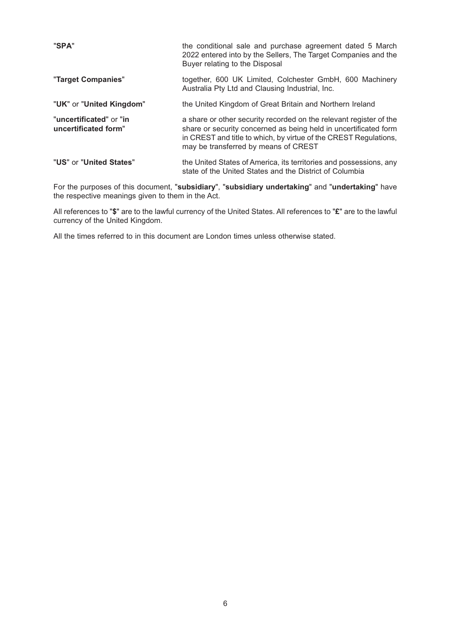| "SPA"                                           | the conditional sale and purchase agreement dated 5 March<br>2022 entered into by the Sellers, The Target Companies and the<br>Buyer relating to the Disposal                                                                                      |
|-------------------------------------------------|----------------------------------------------------------------------------------------------------------------------------------------------------------------------------------------------------------------------------------------------------|
| "Target Companies"                              | together, 600 UK Limited, Colchester GmbH, 600 Machinery<br>Australia Pty Ltd and Clausing Industrial, Inc.                                                                                                                                        |
| "UK" or "United Kingdom"                        | the United Kingdom of Great Britain and Northern Ireland                                                                                                                                                                                           |
| "uncertificated" or "in<br>uncertificated form" | a share or other security recorded on the relevant register of the<br>share or security concerned as being held in uncertificated form<br>in CREST and title to which, by virtue of the CREST Regulations,<br>may be transferred by means of CREST |
| "US" or "United States"                         | the United States of America, its territories and possessions, any<br>state of the United States and the District of Columbia                                                                                                                      |

For the purposes of this document, "**subsidiary**", "**subsidiary undertaking**" and "**undertaking**" have the respective meanings given to them in the Act.

All references to "**\$**" are to the lawful currency of the United States. All references to "**£**" are to the lawful currency of the United Kingdom.

All the times referred to in this document are London times unless otherwise stated.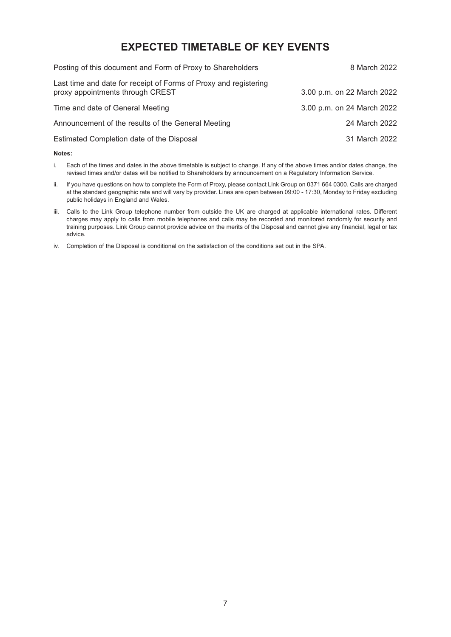## **EXPECTED TIMETABLE OF KEY EVENTS**

| Posting of this document and Form of Proxy to Shareholders                                           | 8 March 2022               |
|------------------------------------------------------------------------------------------------------|----------------------------|
| Last time and date for receipt of Forms of Proxy and registering<br>proxy appointments through CREST | 3.00 p.m. on 22 March 2022 |
| Time and date of General Meeting                                                                     | 3.00 p.m. on 24 March 2022 |
| Announcement of the results of the General Meeting                                                   | 24 March 2022              |
| Estimated Completion date of the Disposal                                                            | 31 March 2022              |
|                                                                                                      |                            |

#### **Notes:**

- i. Each of the times and dates in the above timetable is subject to change. If any of the above times and/or dates change, the revised times and/or dates will be notified to Shareholders by announcement on a Regulatory Information Service.
- ii. If you have questions on how to complete the Form of Proxy, please contact Link Group on 0371 664 0300. Calls are charged at the standard geographic rate and will vary by provider. Lines are open between 09:00 - 17:30, Monday to Friday excluding public holidays in England and Wales.
- iii. Calls to the Link Group telephone number from outside the UK are charged at applicable international rates. Different charges may apply to calls from mobile telephones and calls may be recorded and monitored randomly for security and training purposes. Link Group cannot provide advice on the merits of the Disposal and cannot give any financial, legal or tax advice.
- iv. Completion of the Disposal is conditional on the satisfaction of the conditions set out in the SPA.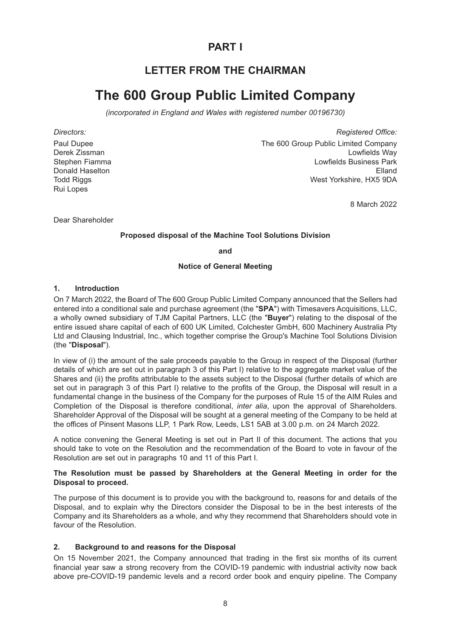## **PART I**

## **LETTER FROM THE CHAIRMAN**

# **The 600 Group Public Limited Company**

*(incorporated in England and Wales with registered number 00196730)*

Paul Dupee Derek Zissman Stephen Fiamma Donald Haselton **Todd Riggs** Rui Lopes

*Directors: Registered Office:* The 600 Group Public Limited Company Lowfields Way Lowfields Business Park Elland West Yorkshire, HX5 9DA

8 March 2022

Dear Shareholder

### **Proposed disposal of the Machine Tool Solutions Division**

**and**

### **Notice of General Meeting**

### **1. Introduction**

On 7 March 2022, the Board of The 600 Group Public Limited Company announced that the Sellers had entered into a conditional sale and purchase agreement (the "**SPA**") with Timesavers Acquisitions, LLC, a wholly owned subsidiary of TJM Capital Partners, LLC (the "**Buyer**") relating to the disposal of the entire issued share capital of each of 600 UK Limited, Colchester GmbH, 600 Machinery Australia Pty Ltd and Clausing Industrial, Inc., which together comprise the Group's Machine Tool Solutions Division (the "**Disposal**").

In view of (i) the amount of the sale proceeds payable to the Group in respect of the Disposal (further details of which are set out in paragraph 3 of this Part I) relative to the aggregate market value of the Shares and (ii) the profits attributable to the assets subject to the Disposal (further details of which are set out in paragraph 3 of this Part I) relative to the profits of the Group, the Disposal will result in a fundamental change in the business of the Company for the purposes of Rule 15 of the AIM Rules and Completion of the Disposal is therefore conditional, *inter alia*, upon the approval of Shareholders. Shareholder Approval of the Disposal will be sought at a general meeting of the Company to be held at the offices of Pinsent Masons LLP, 1 Park Row, Leeds, LS1 5AB at 3.00 p.m. on 24 March 2022.

A notice convening the General Meeting is set out in Part II of this document. The actions that you should take to vote on the Resolution and the recommendation of the Board to vote in favour of the Resolution are set out in paragraphs 10 and 11 of this Part I.

### **The Resolution must be passed by Shareholders at the General Meeting in order for the Disposal to proceed.**

The purpose of this document is to provide you with the background to, reasons for and details of the Disposal, and to explain why the Directors consider the Disposal to be in the best interests of the Company and its Shareholders as a whole, and why they recommend that Shareholders should vote in favour of the Resolution.

### **2. Background to and reasons for the Disposal**

On 15 November 2021, the Company announced that trading in the first six months of its current financial year saw a strong recovery from the COVID-19 pandemic with industrial activity now back above pre-COVID-19 pandemic levels and a record order book and enquiry pipeline. The Company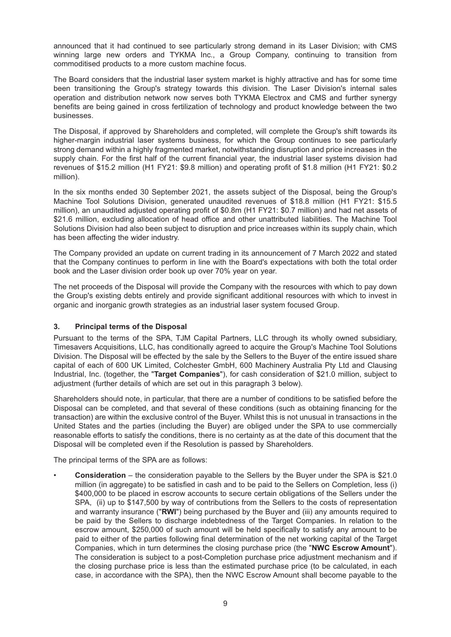announced that it had continued to see particularly strong demand in its Laser Division; with CMS winning large new orders and TYKMA Inc., a Group Company, continuing to transition from commoditised products to a more custom machine focus.

The Board considers that the industrial laser system market is highly attractive and has for some time been transitioning the Group's strategy towards this division. The Laser Division's internal sales operation and distribution network now serves both TYKMA Electrox and CMS and further synergy benefits are being gained in cross fertilization of technology and product knowledge between the two businesses.

The Disposal, if approved by Shareholders and completed, will complete the Group's shift towards its higher-margin industrial laser systems business, for which the Group continues to see particularly strong demand within a highly fragmented market, notwithstanding disruption and price increases in the supply chain. For the first half of the current financial year, the industrial laser systems division had revenues of \$15.2 million (H1 FY21: \$9.8 million) and operating profit of \$1.8 million (H1 FY21: \$0.2 million).

In the six months ended 30 September 2021, the assets subject of the Disposal, being the Group's Machine Tool Solutions Division, generated unaudited revenues of \$18.8 million (H1 FY21: \$15.5 million), an unaudited adjusted operating profit of \$0.8m (H1 FY21: \$0.7 million) and had net assets of \$21.6 million, excluding allocation of head office and other unattributed liabilities. The Machine Tool Solutions Division had also been subject to disruption and price increases within its supply chain, which has been affecting the wider industry.

The Company provided an update on current trading in its announcement of 7 March 2022 and stated that the Company continues to perform in line with the Board's expectations with both the total order book and the Laser division order book up over 70% year on year.

The net proceeds of the Disposal will provide the Company with the resources with which to pay down the Group's existing debts entirely and provide significant additional resources with which to invest in organic and inorganic growth strategies as an industrial laser system focused Group.

## **3. Principal terms of the Disposal**

Pursuant to the terms of the SPA, TJM Capital Partners, LLC through its wholly owned subsidiary, Timesavers Acquisitions, LLC, has conditionally agreed to acquire the Group's Machine Tool Solutions Division. The Disposal will be effected by the sale by the Sellers to the Buyer of the entire issued share capital of each of 600 UK Limited, Colchester GmbH, 600 Machinery Australia Pty Ltd and Clausing Industrial, Inc. (together, the "**Target Companies**"), for cash consideration of \$21.0 million, subject to adjustment (further details of which are set out in this paragraph 3 below).

Shareholders should note, in particular, that there are a number of conditions to be satisfied before the Disposal can be completed, and that several of these conditions (such as obtaining financing for the transaction) are within the exclusive control of the Buyer. Whilst this is not unusual in transactions in the United States and the parties (including the Buyer) are obliged under the SPA to use commercially reasonable efforts to satisfy the conditions, there is no certainty as at the date of this document that the Disposal will be completed even if the Resolution is passed by Shareholders.

The principal terms of the SPA are as follows:

• **Consideration** – the consideration payable to the Sellers by the Buyer under the SPA is \$21.0 million (in aggregate) to be satisfied in cash and to be paid to the Sellers on Completion, less (i) \$400,000 to be placed in escrow accounts to secure certain obligations of the Sellers under the SPA, (ii) up to \$147,500 by way of contributions from the Sellers to the costs of representation and warranty insurance ("**RWI**") being purchased by the Buyer and (iii) any amounts required to be paid by the Sellers to discharge indebtedness of the Target Companies. In relation to the escrow amount, \$250,000 of such amount will be held specifically to satisfy any amount to be paid to either of the parties following final determination of the net working capital of the Target Companies, which in turn determines the closing purchase price (the "**NWC Escrow Amount**"). The consideration is subject to a post-Completion purchase price adjustment mechanism and if the closing purchase price is less than the estimated purchase price (to be calculated, in each case, in accordance with the SPA), then the NWC Escrow Amount shall become payable to the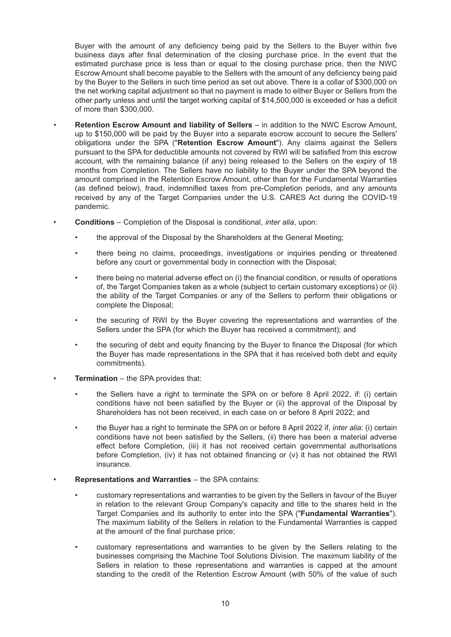Buyer with the amount of any deficiency being paid by the Sellers to the Buyer within five business days after final determination of the closing purchase price. In the event that the estimated purchase price is less than or equal to the closing purchase price, then the NWC Escrow Amount shall become payable to the Sellers with the amount of any deficiency being paid by the Buyer to the Sellers in such time period as set out above. There is a collar of \$300,000 on the net working capital adjustment so that no payment is made to either Buyer or Sellers from the other party unless and until the target working capital of \$14,500,000 is exceeded or has a deficit of more than \$300,000.

- **Retention Escrow Amount and liability of Sellers** in addition to the NWC Escrow Amount, up to \$150,000 will be paid by the Buyer into a separate escrow account to secure the Sellers' obligations under the SPA ("**Retention Escrow Amount**"). Any claims against the Sellers pursuant to the SPA for deductible amounts not covered by RWI will be satisfied from this escrow account, with the remaining balance (if any) being released to the Sellers on the expiry of 18 months from Completion. The Sellers have no liability to the Buyer under the SPA beyond the amount comprised in the Retention Escrow Amount, other than for the Fundamental Warranties (as defined below), fraud, indemnified taxes from pre-Completion periods, and any amounts received by any of the Target Companies under the U.S. CARES Act during the COVID-19 pandemic.
- **Conditions** Completion of the Disposal is conditional, *inter alia*, upon:
	- the approval of the Disposal by the Shareholders at the General Meeting;
	- there being no claims, proceedings, investigations or inquiries pending or threatened before any court or governmental body in connection with the Disposal;
	- there being no material adverse effect on (i) the financial condition, or results of operations of, the Target Companies taken as a whole (subject to certain customary exceptions) or (ii) the ability of the Target Companies or any of the Sellers to perform their obligations or complete the Disposal;
	- the securing of RWI by the Buyer covering the representations and warranties of the Sellers under the SPA (for which the Buyer has received a commitment); and
	- the securing of debt and equity financing by the Buyer to finance the Disposal (for which the Buyer has made representations in the SPA that it has received both debt and equity commitments).
- **Termination** the SPA provides that:
	- the Sellers have a right to terminate the SPA on or before 8 April 2022, if: (i) certain conditions have not been satisfied by the Buyer or (ii) the approval of the Disposal by Shareholders has not been received, in each case on or before 8 April 2022; and
	- the Buyer has a right to terminate the SPA on or before 8 April 2022 if, *inter alia*: (i) certain conditions have not been satisfied by the Sellers, (ii) there has been a material adverse effect before Completion, (iii) it has not received certain governmental authorisations before Completion, (iv) it has not obtained financing or (v) it has not obtained the RWI insurance.
	- **Representations and Warranties** the SPA contains:
		- customary representations and warranties to be given by the Sellers in favour of the Buyer in relation to the relevant Group Company's capacity and title to the shares held in the Target Companies and its authority to enter into the SPA ("**Fundamental Warranties**"). The maximum liability of the Sellers in relation to the Fundamental Warranties is capped at the amount of the final purchase price;
		- customary representations and warranties to be given by the Sellers relating to the businesses comprising the Machine Tool Solutions Division. The maximum liability of the Sellers in relation to these representations and warranties is capped at the amount standing to the credit of the Retention Escrow Amount (with 50% of the value of such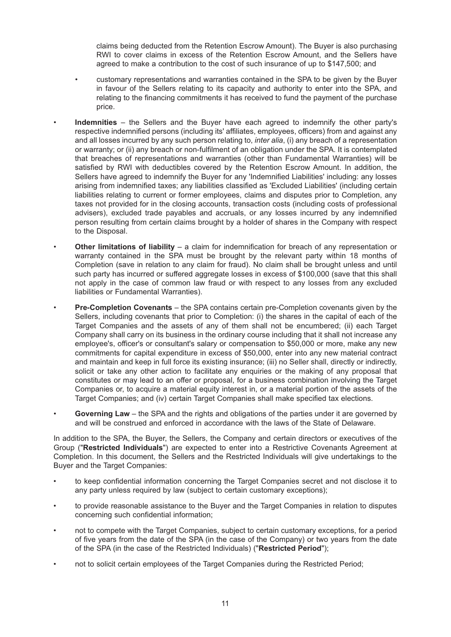claims being deducted from the Retention Escrow Amount). The Buyer is also purchasing RWI to cover claims in excess of the Retention Escrow Amount, and the Sellers have agreed to make a contribution to the cost of such insurance of up to \$147,500; and

- customary representations and warranties contained in the SPA to be given by the Buyer in favour of the Sellers relating to its capacity and authority to enter into the SPA, and relating to the financing commitments it has received to fund the payment of the purchase price.
- **Indemnities** the Sellers and the Buyer have each agreed to indemnify the other party's respective indemnified persons (including its' affiliates, employees, officers) from and against any and all losses incurred by any such person relating to, *inter alia*, (i) any breach of a representation or warranty; or (ii) any breach or non-fulfilment of an obligation under the SPA. It is contemplated that breaches of representations and warranties (other than Fundamental Warranties) will be satisfied by RWI with deductibles covered by the Retention Escrow Amount. In addition, the Sellers have agreed to indemnify the Buyer for any 'Indemnified Liabilities' including: any losses arising from indemnified taxes; any liabilities classified as 'Excluded Liabilities' (including certain liabilities relating to current or former employees, claims and disputes prior to Completion, any taxes not provided for in the closing accounts, transaction costs (including costs of professional advisers), excluded trade payables and accruals, or any losses incurred by any indemnified person resulting from certain claims brought by a holder of shares in the Company with respect to the Disposal.
- **Other limitations of liability** a claim for indemnification for breach of any representation or warranty contained in the SPA must be brought by the relevant party within 18 months of Completion (save in relation to any claim for fraud). No claim shall be brought unless and until such party has incurred or suffered aggregate losses in excess of \$100,000 (save that this shall not apply in the case of common law fraud or with respect to any losses from any excluded liabilities or Fundamental Warranties).
- **Pre-Completion Covenants** the SPA contains certain pre-Completion covenants given by the Sellers, including covenants that prior to Completion: (i) the shares in the capital of each of the Target Companies and the assets of any of them shall not be encumbered; (ii) each Target Company shall carry on its business in the ordinary course including that it shall not increase any employee's, officer's or consultant's salary or compensation to \$50,000 or more, make any new commitments for capital expenditure in excess of \$50,000, enter into any new material contract and maintain and keep in full force its existing insurance; (iii) no Seller shall, directly or indirectly, solicit or take any other action to facilitate any enquiries or the making of any proposal that constitutes or may lead to an offer or proposal, for a business combination involving the Target Companies or, to acquire a material equity interest in, or a material portion of the assets of the Target Companies; and (iv) certain Target Companies shall make specified tax elections.
- **Governing Law** the SPA and the rights and obligations of the parties under it are governed by and will be construed and enforced in accordance with the laws of the State of Delaware.

In addition to the SPA, the Buyer, the Sellers, the Company and certain directors or executives of the Group ("**Restricted Individuals**") are expected to enter into a Restrictive Covenants Agreement at Completion. In this document, the Sellers and the Restricted Individuals will give undertakings to the Buyer and the Target Companies:

- to keep confidential information concerning the Target Companies secret and not disclose it to any party unless required by law (subject to certain customary exceptions);
- to provide reasonable assistance to the Buyer and the Target Companies in relation to disputes concerning such confidential information;
- not to compete with the Target Companies, subject to certain customary exceptions, for a period of five years from the date of the SPA (in the case of the Company) or two years from the date of the SPA (in the case of the Restricted Individuals) ("**Restricted Period**");
- not to solicit certain employees of the Target Companies during the Restricted Period;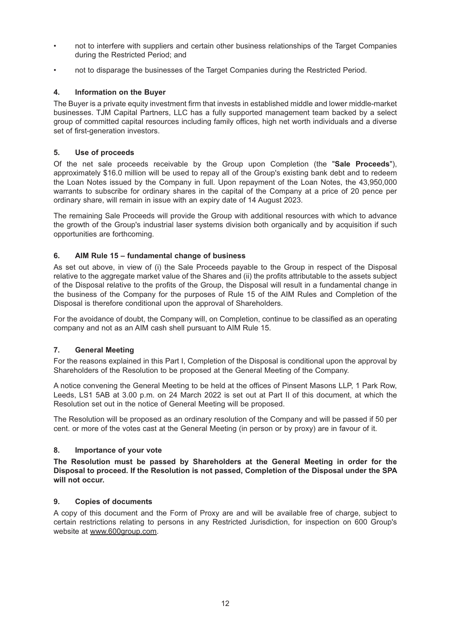- not to interfere with suppliers and certain other business relationships of the Target Companies during the Restricted Period; and
- not to disparage the businesses of the Target Companies during the Restricted Period.

## **4. Information on the Buyer**

The Buyer is a private equity investment firm that invests in established middle and lower middle-market businesses. TJM Capital Partners, LLC has a fully supported management team backed by a select group of committed capital resources including family offices, high net worth individuals and a diverse set of first-generation investors.

### **5. Use of proceeds**

Of the net sale proceeds receivable by the Group upon Completion (the "**Sale Proceeds**"), approximately \$16.0 million will be used to repay all of the Group's existing bank debt and to redeem the Loan Notes issued by the Company in full. Upon repayment of the Loan Notes, the 43,950,000 warrants to subscribe for ordinary shares in the capital of the Company at a price of 20 pence per ordinary share, will remain in issue with an expiry date of 14 August 2023.

The remaining Sale Proceeds will provide the Group with additional resources with which to advance the growth of the Group's industrial laser systems division both organically and by acquisition if such opportunities are forthcoming.

### **6. AIM Rule 15 – fundamental change of business**

As set out above, in view of (i) the Sale Proceeds payable to the Group in respect of the Disposal relative to the aggregate market value of the Shares and (ii) the profits attributable to the assets subject of the Disposal relative to the profits of the Group, the Disposal will result in a fundamental change in the business of the Company for the purposes of Rule 15 of the AIM Rules and Completion of the Disposal is therefore conditional upon the approval of Shareholders.

For the avoidance of doubt, the Company will, on Completion, continue to be classified as an operating company and not as an AIM cash shell pursuant to AIM Rule 15.

### **7. General Meeting**

For the reasons explained in this Part I, Completion of the Disposal is conditional upon the approval by Shareholders of the Resolution to be proposed at the General Meeting of the Company.

A notice convening the General Meeting to be held at the offices of Pinsent Masons LLP, 1 Park Row, Leeds, LS1 5AB at 3.00 p.m. on 24 March 2022 is set out at Part II of this document, at which the Resolution set out in the notice of General Meeting will be proposed.

The Resolution will be proposed as an ordinary resolution of the Company and will be passed if 50 per cent. or more of the votes cast at the General Meeting (in person or by proxy) are in favour of it.

### **8. Importance of your vote**

**The Resolution must be passed by Shareholders at the General Meeting in order for the Disposal to proceed. If the Resolution is not passed, Completion of the Disposal under the SPA will not occur.**

### **9. Copies of documents**

A copy of this document and the Form of Proxy are and will be available free of charge, subject to certain restrictions relating to persons in any Restricted Jurisdiction, for inspection on 600 Group's website at www.600group.com.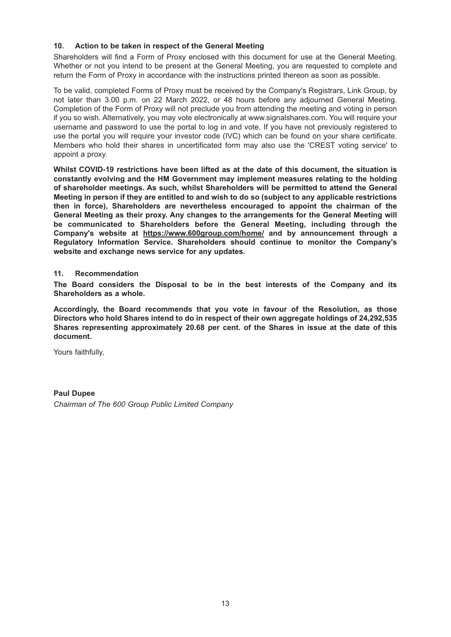### **10. Action to be taken in respect of the General Meeting**

Shareholders will find a Form of Proxy enclosed with this document for use at the General Meeting. Whether or not you intend to be present at the General Meeting, you are requested to complete and return the Form of Proxy in accordance with the instructions printed thereon as soon as possible.

To be valid, completed Forms of Proxy must be received by the Company's Registrars, Link Group, by not later than 3.00 p.m. on 22 March 2022, or 48 hours before any adjourned General Meeting. Completion of the Form of Proxy will not preclude you from attending the meeting and voting in person if you so wish. Alternatively, you may vote electronically at www.signalshares.com. You will require your username and password to use the portal to log in and vote. If you have not previously registered to use the portal you will require your investor code (IVC) which can be found on your share certificate. Members who hold their shares in uncertificated form may also use the 'CREST voting service' to appoint a proxy.

**Whilst COVID-19 restrictions have been lifted as at the date of this document, the situation is constantly evolving and the HM Government may implement measures relating to the holding of shareholder meetings. As such, whilst Shareholders will be permitted to attend the General Meeting in person if they are entitled to and wish to do so (subject to any applicable restrictions then in force), Shareholders are nevertheless encouraged to appoint the chairman of the General Meeting as their proxy. Any changes to the arrangements for the General Meeting will be communicated to Shareholders before the General Meeting, including through the Company's website at https://www.600group.com/home/ and by announcement through a Regulatory Information Service. Shareholders should continue to monitor the Company's website and exchange news service for any updates.**

### **11. Recommendation**

**The Board considers the Disposal to be in the best interests of the Company and its Shareholders as a whole.**

**Accordingly, the Board recommends that you vote in favour of the Resolution, as those Directors who hold Shares intend to do in respect of their own aggregate holdings of 24,292,535 Shares representing approximately 20.68 per cent. of the Shares in issue at the date of this document.**

Yours faithfully,

**Paul Dupee** *Chairman of The 600 Group Public Limited Company*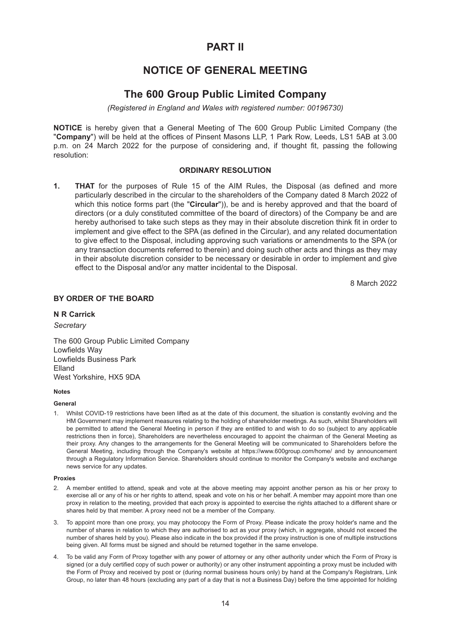## **PART II**

## **NOTICE OF GENERAL MEETING**

## **The 600 Group Public Limited Company**

*(Registered in England and Wales with registered number: 00196730)*

**NOTICE** is hereby given that a General Meeting of The 600 Group Public Limited Company (the "**Company**") will be held at the offices of Pinsent Masons LLP, 1 Park Row, Leeds, LS1 5AB at 3.00 p.m. on 24 March 2022 for the purpose of considering and, if thought fit, passing the following resolution:

#### **ORDINARY RESOLUTION**

**1. THAT** for the purposes of Rule 15 of the AIM Rules, the Disposal (as defined and more particularly described in the circular to the shareholders of the Company dated 8 March 2022 of which this notice forms part (the "**Circular**")), be and is hereby approved and that the board of directors (or a duly constituted committee of the board of directors) of the Company be and are hereby authorised to take such steps as they may in their absolute discretion think fit in order to implement and give effect to the SPA (as defined in the Circular), and any related documentation to give effect to the Disposal, including approving such variations or amendments to the SPA (or any transaction documents referred to therein) and doing such other acts and things as they may in their absolute discretion consider to be necessary or desirable in order to implement and give effect to the Disposal and/or any matter incidental to the Disposal.

8 March 2022

#### **BY ORDER OF THE BOARD**

#### **N R Carrick**

#### *Secretary*

The 600 Group Public Limited Company Lowfields Way Lowfields Business Park Elland West Yorkshire, HX5 9DA

#### **Notes**

#### **General**

1. Whilst COVID-19 restrictions have been lifted as at the date of this document, the situation is constantly evolving and the HM Government may implement measures relating to the holding of shareholder meetings. As such, whilst Shareholders will be permitted to attend the General Meeting in person if they are entitled to and wish to do so (subject to any applicable restrictions then in force), Shareholders are nevertheless encouraged to appoint the chairman of the General Meeting as their proxy. Any changes to the arrangements for the General Meeting will be communicated to Shareholders before the General Meeting, including through the Company's website at https://www.600group.com/home/ and by announcement through a Regulatory Information Service. Shareholders should continue to monitor the Company's website and exchange news service for any updates.

#### **Proxies**

- 2. A member entitled to attend, speak and vote at the above meeting may appoint another person as his or her proxy to exercise all or any of his or her rights to attend, speak and vote on his or her behalf. A member may appoint more than one proxy in relation to the meeting, provided that each proxy is appointed to exercise the rights attached to a different share or shares held by that member. A proxy need not be a member of the Company.
- 3. To appoint more than one proxy, you may photocopy the Form of Proxy. Please indicate the proxy holder's name and the number of shares in relation to which they are authorised to act as your proxy (which, in aggregate, should not exceed the number of shares held by you). Please also indicate in the box provided if the proxy instruction is one of multiple instructions being given. All forms must be signed and should be returned together in the same envelope.
- 4. To be valid any Form of Proxy together with any power of attorney or any other authority under which the Form of Proxy is signed (or a duly certified copy of such power or authority) or any other instrument appointing a proxy must be included with the Form of Proxy and received by post or (during normal business hours only) by hand at the Company's Registrars, Link Group, no later than 48 hours (excluding any part of a day that is not a Business Day) before the time appointed for holding